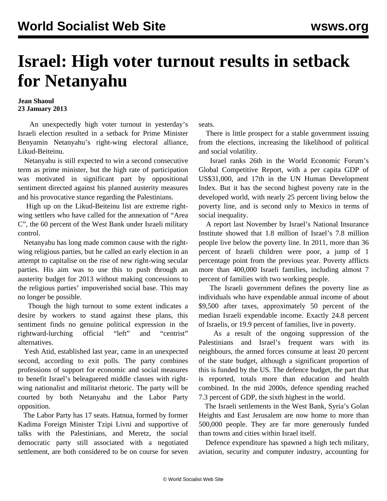## **Israel: High voter turnout results in setback for Netanyahu**

## **Jean Shaoul 23 January 2013**

 An unexpectedly high voter turnout in yesterday's Israeli election resulted in a setback for Prime Minister Benyamin Netanyahu's right-wing electoral alliance, Likud-Beiteinu.

 Netanyahu is still expected to win a second consecutive term as prime minister, but the high rate of participation was motivated in significant part by oppositional sentiment directed against his planned austerity measures and his provocative stance regarding the Palestinians.

 High up on the Likud-Beiteinu list are extreme rightwing settlers who have called for the annexation of "Area C", the 60 percent of the West Bank under Israeli military control.

 Netanyahu has long made common cause with the rightwing religious parties, but he called an early election in an attempt to capitalise on the rise of new right-wing secular parties. His aim was to use this to push through an austerity budget for 2013 without making concessions to the religious parties' impoverished social base. This may no longer be possible.

 Though the high turnout to some extent indicates a desire by workers to stand against these plans, this sentiment finds no genuine political expression in the rightward-lurching official "left" and "centrist" alternatives.

 Yesh Atid, established last year, came in an unexpected second, according to exit polls. The party combines professions of support for economic and social measures to benefit Israel's beleaguered middle classes with rightwing nationalist and militarist rhetoric. The party will be courted by both Netanyahu and the Labor Party opposition.

 The Labor Party has 17 seats. Hatnua, formed by former Kadima Foreign Minister Tzipi Livni and supportive of talks with the Palestinians, and Meretz, the social democratic party still associated with a negotiated settlement, are both considered to be on course for seven

seats.

 There is little prospect for a stable government issuing from the elections, increasing the likelihood of political and social volatility.

 Israel ranks 26th in the World Economic Forum's Global Competitive Report, with a per capita GDP of US\$31,000, and 17th in the UN Human Development Index. But it has the second highest poverty rate in the developed world, with nearly 25 percent living below the poverty line, and is second only to Mexico in terms of social inequality.

 A report last November by Israel's National Insurance Institute showed that 1.8 million of Israel's 7.8 million people live below the poverty line. In 2011, more than 36 percent of Israeli children were poor, a jump of 1 percentage point from the previous year. Poverty afflicts more than 400,000 Israeli families, including almost 7 percent of families with two working people.

 The Israeli government defines the poverty line as individuals who have expendable annual income of about \$9,500 after taxes, approximately 50 percent of the median Israeli expendable income. Exactly 24.8 percent of Israelis, or 19.9 percent of families, live in poverty.

 As a result of the ongoing suppression of the Palestinians and Israel's frequent wars with its neighbours, the armed forces consume at least 20 percent of the state budget, although a significant proportion of this is funded by the US. The defence budget, the part that is reported, totals more than education and health combined. In the mid 2000s, defence spending reached 7.3 percent of GDP, the sixth highest in the world.

 The Israeli settlements in the West Bank, Syria's Golan Heights and East Jerusalem are now home to more than 500,000 people. They are far more generously funded than towns and cities within Israel itself.

 Defence expenditure has spawned a high tech military, aviation, security and computer industry, accounting for